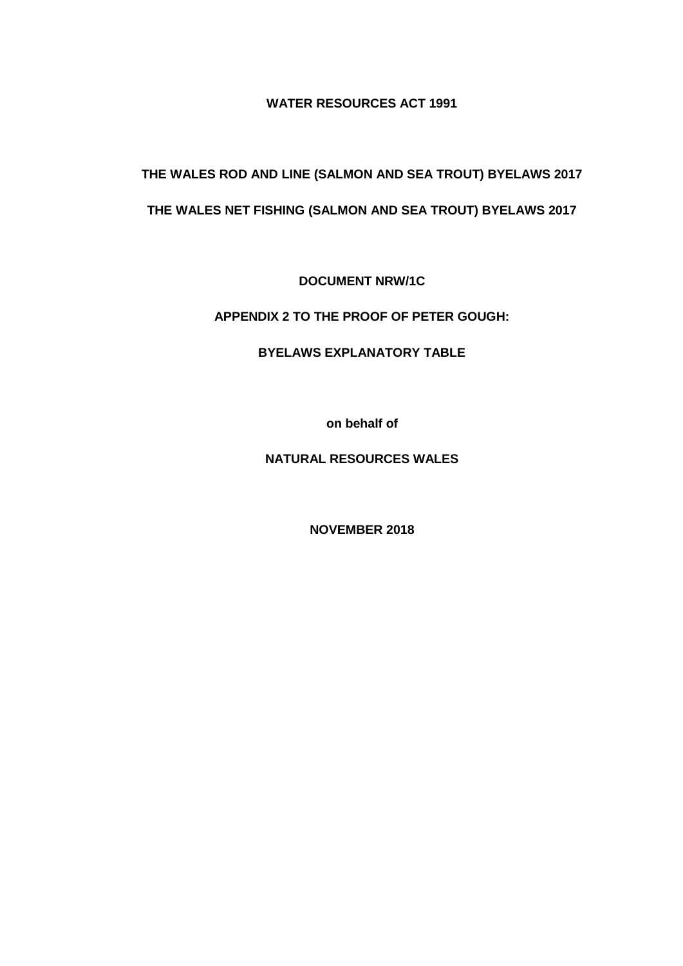**WATER RESOURCES ACT 1991**

**THE WALES ROD AND LINE (SALMON AND SEA TROUT) BYELAWS 2017 THE WALES NET FISHING (SALMON AND SEA TROUT) BYELAWS 2017**

**DOCUMENT NRW/1C**

**APPENDIX 2 TO THE PROOF OF PETER GOUGH:**

**BYELAWS EXPLANATORY TABLE**

**on behalf of**

**NATURAL RESOURCES WALES**

**NOVEMBER 2018**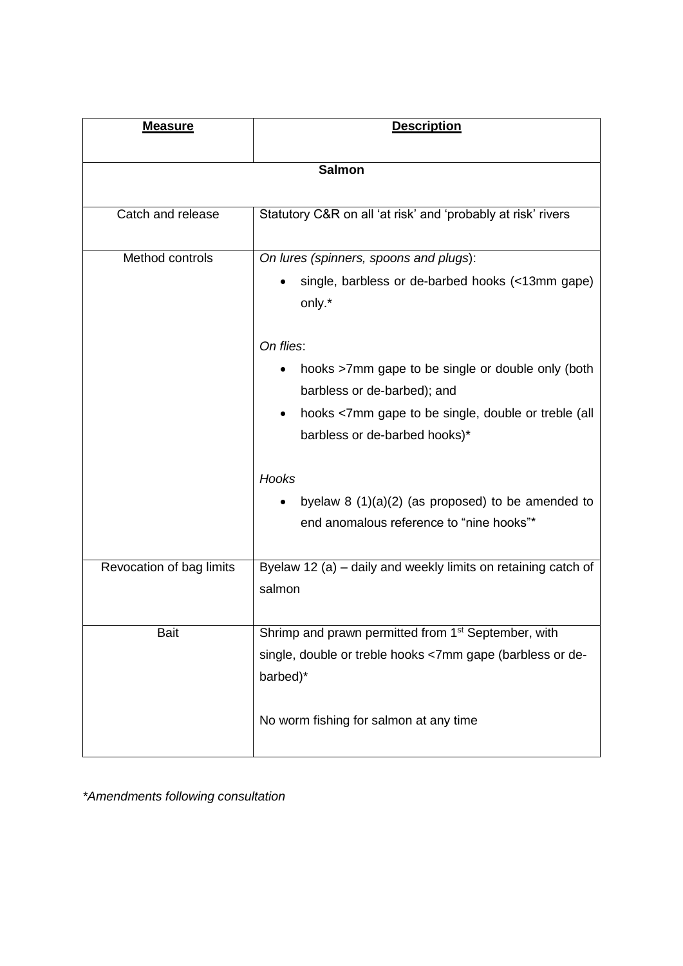| <b>Measure</b>           | <b>Description</b>                                                                                                                                                                    |
|--------------------------|---------------------------------------------------------------------------------------------------------------------------------------------------------------------------------------|
| <b>Salmon</b>            |                                                                                                                                                                                       |
| Catch and release        | Statutory C&R on all 'at risk' and 'probably at risk' rivers                                                                                                                          |
| Method controls          | On lures (spinners, spoons and plugs):<br>single, barbless or de-barbed hooks (<13mm gape)<br>only.*                                                                                  |
|                          | On flies:<br>hooks >7mm gape to be single or double only (both<br>barbless or de-barbed); and<br>hooks <7mm gape to be single, double or treble (all<br>barbless or de-barbed hooks)* |
|                          | Hooks<br>byelaw $8(1)(a)(2)$ (as proposed) to be amended to<br>end anomalous reference to "nine hooks"*                                                                               |
| Revocation of bag limits | Byelaw 12 (a) - daily and weekly limits on retaining catch of<br>salmon                                                                                                               |
| <b>Bait</b>              | Shrimp and prawn permitted from 1 <sup>st</sup> September, with<br>single, double or treble hooks <7mm gape (barbless or de-<br>barbed)*<br>No worm fishing for salmon at any time    |

*\*Amendments following consultation*